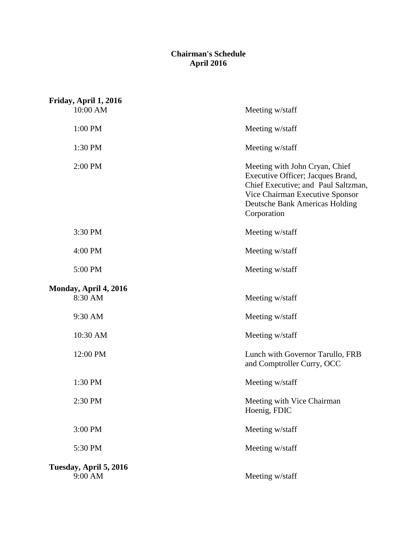## **April 2016 Chairman's Schedule**

| Friday, April 1, 2016<br>10:00 AM | Meeting w/staff                                                                                                                                                                                |
|-----------------------------------|------------------------------------------------------------------------------------------------------------------------------------------------------------------------------------------------|
| 1:00 PM                           | Meeting w/staff                                                                                                                                                                                |
| 1:30 PM                           | Meeting w/staff                                                                                                                                                                                |
| 2:00 PM                           | Meeting with John Cryan, Chief<br>Executive Officer; Jacques Brand,<br>Chief Executive; and Paul Saltzman,<br>Vice Chairman Executive Sponsor<br>Deutsche Bank Americas Holding<br>Corporation |
| 3:30 PM                           | Meeting w/staff                                                                                                                                                                                |
| 4:00 PM                           | Meeting w/staff                                                                                                                                                                                |
| 5:00 PM                           | Meeting w/staff                                                                                                                                                                                |
| Monday, April 4, 2016<br>8:30 AM  | Meeting w/staff                                                                                                                                                                                |
| 9:30 AM                           | Meeting w/staff                                                                                                                                                                                |
| 10:30 AM                          | Meeting w/staff                                                                                                                                                                                |
| 12:00 PM                          | Lunch with Governor Tarullo, FRB<br>and Comptroller Curry, OCC                                                                                                                                 |
| 1:30 PM                           | Meeting w/staff                                                                                                                                                                                |
| 2:30 PM                           | Meeting with Vice Chairman<br>Hoenig, FDIC                                                                                                                                                     |
| 3:00 PM                           | Meeting w/staff                                                                                                                                                                                |
| 5:30 PM                           | Meeting w/staff                                                                                                                                                                                |
| Tuesday, April 5, 2016<br>9:00 AM | Meeting w/staff                                                                                                                                                                                |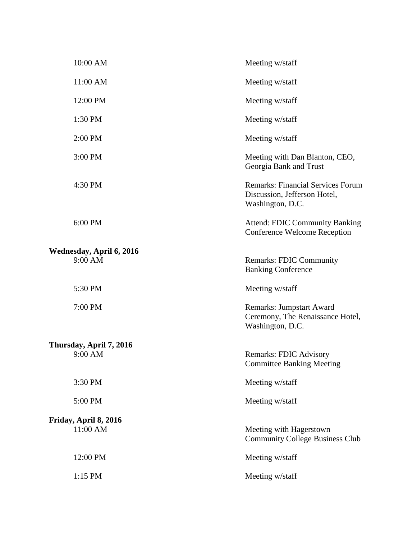| 10:00 AM                            | Meeting w/staff                                                                              |
|-------------------------------------|----------------------------------------------------------------------------------------------|
| 11:00 AM                            | Meeting w/staff                                                                              |
| 12:00 PM                            | Meeting w/staff                                                                              |
| 1:30 PM                             | Meeting w/staff                                                                              |
| 2:00 PM                             | Meeting w/staff                                                                              |
| 3:00 PM                             | Meeting with Dan Blanton, CEO,<br>Georgia Bank and Trust                                     |
| 4:30 PM                             | <b>Remarks: Financial Services Forum</b><br>Discussion, Jefferson Hotel,<br>Washington, D.C. |
| 6:00 PM                             | <b>Attend: FDIC Community Banking</b><br><b>Conference Welcome Reception</b>                 |
| Wednesday, April 6, 2016<br>9:00 AM | <b>Remarks: FDIC Community</b><br><b>Banking Conference</b>                                  |
| 5:30 PM                             | Meeting w/staff                                                                              |
| 7:00 PM                             | <b>Remarks: Jumpstart Award</b><br>Ceremony, The Renaissance Hotel,<br>Washington, D.C.      |
| Thursday, April 7, 2016             |                                                                                              |
| 9:00 AM                             | <b>Remarks: FDIC Advisory</b><br><b>Committee Banking Meeting</b>                            |
| 3:30 PM                             | Meeting w/staff                                                                              |
| 5:00 PM                             | Meeting w/staff                                                                              |
| Friday, April 8, 2016<br>11:00 AM   | Meeting with Hagerstown<br><b>Community College Business Club</b>                            |
| 12:00 PM                            | Meeting w/staff                                                                              |
| 1:15 PM                             | Meeting w/staff                                                                              |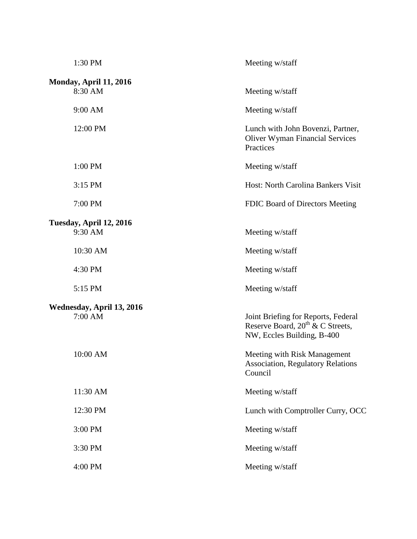| 1:30 PM                                  | Meeting w/staff                                                                                            |
|------------------------------------------|------------------------------------------------------------------------------------------------------------|
| <b>Monday, April 11, 2016</b><br>8:30 AM | Meeting w/staff                                                                                            |
| 9:00 AM                                  | Meeting w/staff                                                                                            |
| 12:00 PM                                 | Lunch with John Bovenzi, Partner,<br><b>Oliver Wyman Financial Services</b><br>Practices                   |
| 1:00 PM                                  | Meeting w/staff                                                                                            |
| 3:15 PM                                  | Host: North Carolina Bankers Visit                                                                         |
| 7:00 PM                                  | FDIC Board of Directors Meeting                                                                            |
| Tuesday, April 12, 2016<br>9:30 AM       | Meeting w/staff                                                                                            |
| 10:30 AM                                 | Meeting w/staff                                                                                            |
| 4:30 PM                                  | Meeting w/staff                                                                                            |
| 5:15 PM                                  | Meeting w/staff                                                                                            |
| Wednesday, April 13, 2016<br>7:00 AM     | Joint Briefing for Reports, Federal<br>Reserve Board, $20^{th}$ & C Streets,<br>NW, Eccles Building, B-400 |
| 10:00 AM                                 | Meeting with Risk Management<br><b>Association, Regulatory Relations</b><br>Council                        |
| 11:30 AM                                 | Meeting w/staff                                                                                            |
| 12:30 PM                                 | Lunch with Comptroller Curry, OCC                                                                          |
| 3:00 PM                                  | Meeting w/staff                                                                                            |
| 3:30 PM                                  | Meeting w/staff                                                                                            |
| 4:00 PM                                  | Meeting w/staff                                                                                            |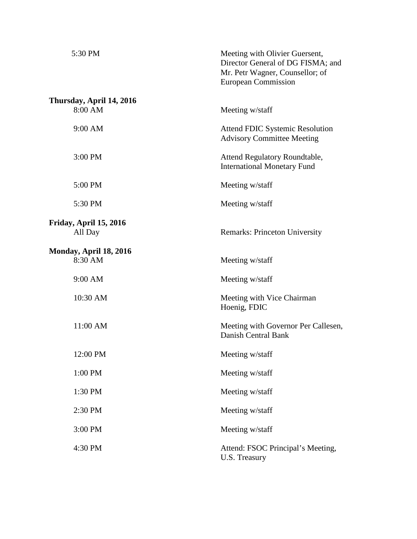| 5:30 PM                           | Meeting with Olivier Guersent,<br>Director General of DG FISMA; and<br>Mr. Petr Wagner, Counsellor; of<br><b>European Commission</b> |
|-----------------------------------|--------------------------------------------------------------------------------------------------------------------------------------|
| Thursday, April 14, 2016          |                                                                                                                                      |
| 8:00 AM                           | Meeting w/staff                                                                                                                      |
| 9:00 AM                           | <b>Attend FDIC Systemic Resolution</b><br><b>Advisory Committee Meeting</b>                                                          |
| 3:00 PM                           | Attend Regulatory Roundtable,<br><b>International Monetary Fund</b>                                                                  |
| 5:00 PM                           | Meeting w/staff                                                                                                                      |
| 5:30 PM                           | Meeting w/staff                                                                                                                      |
| Friday, April 15, 2016<br>All Day | <b>Remarks: Princeton University</b>                                                                                                 |
| Monday, April 18, 2016<br>8:30 AM | Meeting w/staff                                                                                                                      |
| 9:00 AM                           | Meeting w/staff                                                                                                                      |
| 10:30 AM                          | Meeting with Vice Chairman<br>Hoenig, FDIC                                                                                           |
| 11:00 AM                          | Meeting with Governor Per Callesen,<br>Danish Central Bank                                                                           |
| 12:00 PM                          | Meeting w/staff                                                                                                                      |
| 1:00 PM                           | Meeting w/staff                                                                                                                      |
| 1:30 PM                           | Meeting w/staff                                                                                                                      |
| 2:30 PM                           | Meeting w/staff                                                                                                                      |
| 3:00 PM                           | Meeting w/staff                                                                                                                      |
| 4:30 PM                           | Attend: FSOC Principal's Meeting,<br>U.S. Treasury                                                                                   |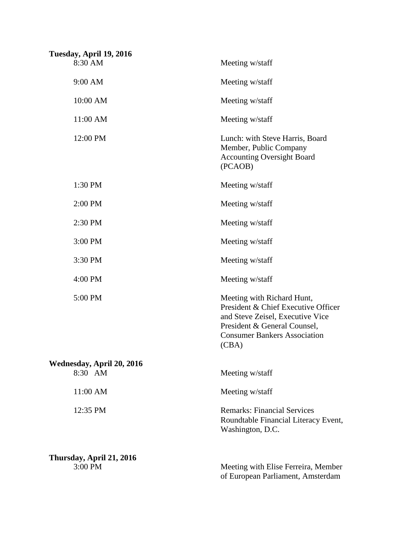| Tuesday, April 19, 2016              |                                                                                                                                                                                       |
|--------------------------------------|---------------------------------------------------------------------------------------------------------------------------------------------------------------------------------------|
| 8:30 AM                              | Meeting w/staff                                                                                                                                                                       |
| 9:00 AM                              | Meeting w/staff                                                                                                                                                                       |
| 10:00 AM                             | Meeting w/staff                                                                                                                                                                       |
| 11:00 AM                             | Meeting w/staff                                                                                                                                                                       |
| 12:00 PM                             | Lunch: with Steve Harris, Board<br>Member, Public Company<br><b>Accounting Oversight Board</b><br>(PCAOB)                                                                             |
| 1:30 PM                              | Meeting w/staff                                                                                                                                                                       |
| 2:00 PM                              | Meeting w/staff                                                                                                                                                                       |
| 2:30 PM                              | Meeting w/staff                                                                                                                                                                       |
| 3:00 PM                              | Meeting w/staff                                                                                                                                                                       |
| 3:30 PM                              | Meeting w/staff                                                                                                                                                                       |
| 4:00 PM                              | Meeting w/staff                                                                                                                                                                       |
| 5:00 PM                              | Meeting with Richard Hunt,<br>President & Chief Executive Officer<br>and Steve Zeisel, Executive Vice<br>President & General Counsel,<br><b>Consumer Bankers Association</b><br>(CBA) |
| Wednesday, April 20, 2016<br>8:30 AM | Meeting w/staff                                                                                                                                                                       |
| 11:00 AM                             | Meeting w/staff                                                                                                                                                                       |
| 12:35 PM                             | <b>Remarks: Financial Services</b><br>Roundtable Financial Literacy Event,<br>Washington, D.C.                                                                                        |
| Thursday, April 21, 2016<br>3:00 PM  | Meeting with Elise Ferreira, Member<br>of European Parliament, Amsterdam                                                                                                              |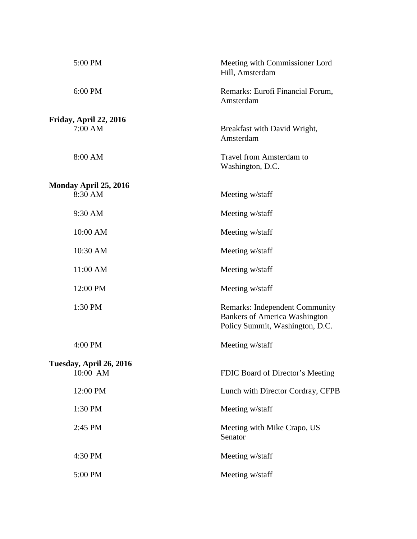| 5:00 PM                          | Meeting with Commissioner Lord<br>Hill, Amsterdam                                                                |
|----------------------------------|------------------------------------------------------------------------------------------------------------------|
| 6:00 PM                          | Remarks: Eurofi Financial Forum,<br>Amsterdam                                                                    |
| Friday, April 22, 2016           |                                                                                                                  |
| 7:00 AM                          | Breakfast with David Wright,<br>Amsterdam                                                                        |
| 8:00 AM                          | Travel from Amsterdam to<br>Washington, D.C.                                                                     |
|                                  |                                                                                                                  |
| Monday April 25, 2016<br>8:30 AM | Meeting w/staff                                                                                                  |
| 9:30 AM                          | Meeting w/staff                                                                                                  |
| 10:00 AM                         | Meeting w/staff                                                                                                  |
| 10:30 AM                         | Meeting w/staff                                                                                                  |
| 11:00 AM                         | Meeting w/staff                                                                                                  |
| 12:00 PM                         | Meeting w/staff                                                                                                  |
| 1:30 PM                          | <b>Remarks: Independent Community</b><br><b>Bankers of America Washington</b><br>Policy Summit, Washington, D.C. |
| 4:00 PM                          | Meeting w/staff                                                                                                  |
| Tuesday, April 26, 2016          |                                                                                                                  |
| 10:00 AM                         | FDIC Board of Director's Meeting                                                                                 |
| 12:00 PM                         | Lunch with Director Cordray, CFPB                                                                                |
| 1:30 PM                          | Meeting w/staff                                                                                                  |
| 2:45 PM                          | Meeting with Mike Crapo, US<br>Senator                                                                           |
| 4:30 PM                          | Meeting w/staff                                                                                                  |
| 5:00 PM                          | Meeting w/staff                                                                                                  |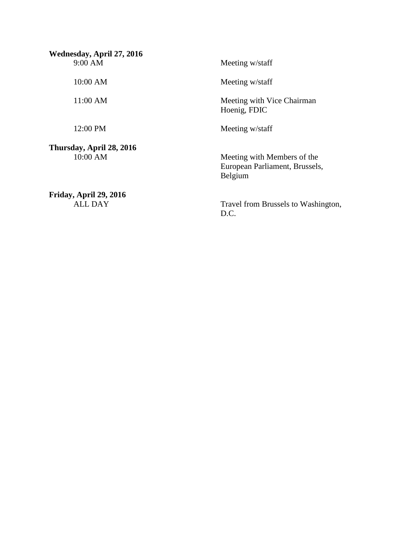$9:00$  AM 10:00 AM 11:00 AM 9:00 AM 10:00 AM 11:00 AM 12:00 PM  **Thursday, April 28, 2016**  10:00 AM **Wednesday, April 27, 2016 Friday, April 29, 2016**  Meeting w/staff Meeting w/staff Meeting with Vice Chairman Hoenig, FDIC Meeting w/staff Meeting with Members of the European Parliament, Brussels, Belgium

ALL DAY

Travel from Brussels to Washington, D.C.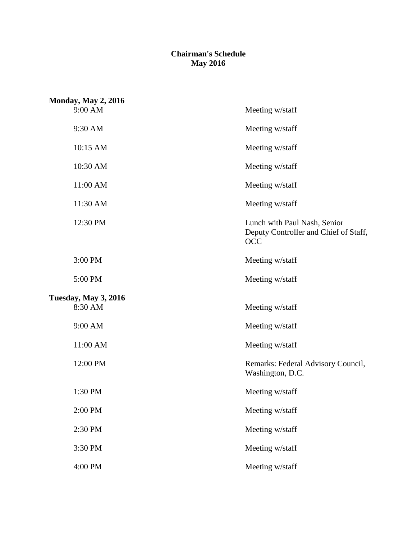## **Chairman's Schedule May 2016**

| <b>Monday, May 2, 2016</b>  |                                                                                     |
|-----------------------------|-------------------------------------------------------------------------------------|
| 9:00 AM                     | Meeting w/staff                                                                     |
| 9:30 AM                     | Meeting w/staff                                                                     |
| 10:15 AM                    | Meeting w/staff                                                                     |
| 10:30 AM                    | Meeting w/staff                                                                     |
| 11:00 AM                    | Meeting w/staff                                                                     |
| 11:30 AM                    | Meeting w/staff                                                                     |
| 12:30 PM                    | Lunch with Paul Nash, Senior<br>Deputy Controller and Chief of Staff,<br><b>OCC</b> |
| 3:00 PM                     | Meeting w/staff                                                                     |
| 5:00 PM                     | Meeting w/staff                                                                     |
| <b>Tuesday, May 3, 2016</b> |                                                                                     |
| 8:30 AM                     | Meeting w/staff                                                                     |
| 9:00 AM                     | Meeting w/staff                                                                     |
| 11:00 AM                    | Meeting w/staff                                                                     |
| 12:00 PM                    | Remarks: Federal Advisory Council,<br>Washington, D.C.                              |
| 1:30 PM                     | Meeting w/staff                                                                     |
| 2:00 PM                     | Meeting w/staff                                                                     |
| 2:30 PM                     | Meeting w/staff                                                                     |
| 3:30 PM                     | Meeting w/staff                                                                     |
| 4:00 PM                     | Meeting w/staff                                                                     |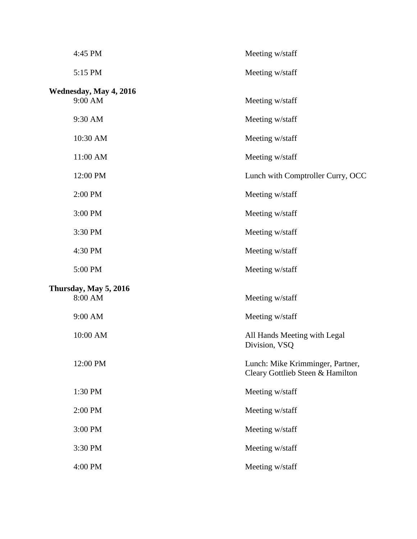| 4:45 PM                           | Meeting w/staff                                                      |
|-----------------------------------|----------------------------------------------------------------------|
| 5:15 PM                           | Meeting w/staff                                                      |
| Wednesday, May 4, 2016<br>9:00 AM | Meeting w/staff                                                      |
| 9:30 AM                           | Meeting w/staff                                                      |
| 10:30 AM                          | Meeting w/staff                                                      |
| 11:00 AM                          | Meeting w/staff                                                      |
| 12:00 PM                          | Lunch with Comptroller Curry, OCC                                    |
| 2:00 PM                           | Meeting w/staff                                                      |
| 3:00 PM                           | Meeting w/staff                                                      |
| 3:30 PM                           | Meeting w/staff                                                      |
| 4:30 PM                           | Meeting w/staff                                                      |
| 5:00 PM                           | Meeting w/staff                                                      |
| Thursday, May 5, 2016<br>8:00 AM  | Meeting w/staff                                                      |
| 9:00 AM                           | Meeting w/staff                                                      |
| 10:00 AM                          | All Hands Meeting with Legal<br>Division, VSQ                        |
| 12:00 PM                          | Lunch: Mike Krimminger, Partner,<br>Cleary Gottlieb Steen & Hamilton |
| 1:30 PM                           | Meeting w/staff                                                      |
| 2:00 PM                           | Meeting w/staff                                                      |
| 3:00 PM                           | Meeting w/staff                                                      |
| 3:30 PM                           | Meeting w/staff                                                      |
| 4:00 PM                           | Meeting w/staff                                                      |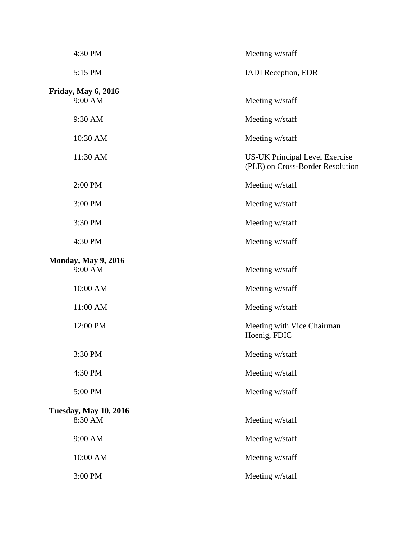| 4:30 PM                                 | Meeting w/staff                                                           |
|-----------------------------------------|---------------------------------------------------------------------------|
| 5:15 PM                                 | <b>IADI</b> Reception, EDR                                                |
| <b>Friday, May 6, 2016</b><br>9:00 AM   | Meeting w/staff                                                           |
| 9:30 AM                                 | Meeting w/staff                                                           |
| 10:30 AM                                | Meeting w/staff                                                           |
| 11:30 AM                                | <b>US-UK Principal Level Exercise</b><br>(PLE) on Cross-Border Resolution |
| 2:00 PM                                 | Meeting w/staff                                                           |
| 3:00 PM                                 | Meeting w/staff                                                           |
| 3:30 PM                                 | Meeting w/staff                                                           |
| 4:30 PM                                 | Meeting w/staff                                                           |
| <b>Monday, May 9, 2016</b><br>9:00 AM   | Meeting w/staff                                                           |
| 10:00 AM                                | Meeting w/staff                                                           |
| 11:00 AM                                | Meeting w/staff                                                           |
| 12:00 PM                                | Meeting with Vice Chairman<br>Hoenig, FDIC                                |
| 3:30 PM                                 | Meeting w/staff                                                           |
| 4:30 PM                                 | Meeting w/staff                                                           |
| 5:00 PM                                 | Meeting w/staff                                                           |
| <b>Tuesday, May 10, 2016</b><br>8:30 AM | Meeting w/staff                                                           |
| 9:00 AM                                 | Meeting w/staff                                                           |
| 10:00 AM                                | Meeting w/staff                                                           |
| 3:00 PM                                 | Meeting w/staff                                                           |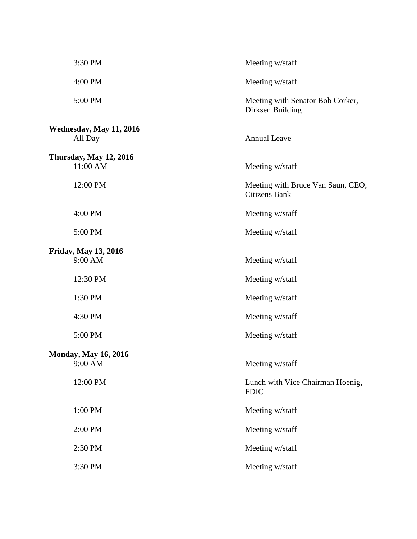| 3:30 PM                                   | Meeting w/staff                                           |
|-------------------------------------------|-----------------------------------------------------------|
| 4:00 PM                                   | Meeting w/staff                                           |
| 5:00 PM                                   | Meeting with Senator Bob Corker,<br>Dirksen Building      |
| Wednesday, May 11, 2016<br>All Day        | <b>Annual Leave</b>                                       |
| <b>Thursday, May 12, 2016</b><br>11:00 AM | Meeting w/staff                                           |
| 12:00 PM                                  | Meeting with Bruce Van Saun, CEO,<br><b>Citizens Bank</b> |
| 4:00 PM                                   | Meeting w/staff                                           |
| 5:00 PM                                   | Meeting w/staff                                           |
| Friday, May 13, 2016<br>9:00 AM           | Meeting w/staff                                           |
| 12:30 PM                                  | Meeting w/staff                                           |
| 1:30 PM                                   | Meeting w/staff                                           |
| 4:30 PM                                   | Meeting w/staff                                           |
| 5:00 PM                                   | Meeting w/staff                                           |
| <b>Monday, May 16, 2016</b><br>9:00 AM    | Meeting w/staff                                           |
| 12:00 PM                                  | Lunch with Vice Chairman Hoenig,<br><b>FDIC</b>           |
| 1:00 PM                                   | Meeting w/staff                                           |
| 2:00 PM                                   | Meeting w/staff                                           |
| 2:30 PM                                   | Meeting w/staff                                           |
| 3:30 PM                                   | Meeting w/staff                                           |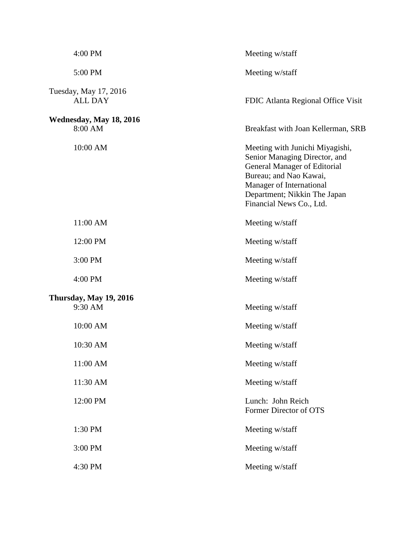| 4:00 PM                                 | Meeting w/staff                                                                                                                                                                                                           |
|-----------------------------------------|---------------------------------------------------------------------------------------------------------------------------------------------------------------------------------------------------------------------------|
| 5:00 PM                                 | Meeting w/staff                                                                                                                                                                                                           |
| Tuesday, May 17, 2016<br><b>ALL DAY</b> | FDIC Atlanta Regional Office Visit                                                                                                                                                                                        |
| Wednesday, May 18, 2016<br>8:00 AM      | Breakfast with Joan Kellerman, SRB                                                                                                                                                                                        |
| 10:00 AM                                | Meeting with Junichi Miyagishi,<br>Senior Managing Director, and<br><b>General Manager of Editorial</b><br>Bureau; and Nao Kawai,<br>Manager of International<br>Department; Nikkin The Japan<br>Financial News Co., Ltd. |
| 11:00 AM                                | Meeting w/staff                                                                                                                                                                                                           |
| 12:00 PM                                | Meeting w/staff                                                                                                                                                                                                           |
| 3:00 PM                                 | Meeting w/staff                                                                                                                                                                                                           |
| 4:00 PM                                 | Meeting w/staff                                                                                                                                                                                                           |
| Thursday, May 19, 2016<br>9:30 AM       | Meeting w/staff                                                                                                                                                                                                           |
| 10:00 AM                                | Meeting w/staff                                                                                                                                                                                                           |
| 10:30 AM                                | Meeting w/staff                                                                                                                                                                                                           |
| 11:00 AM                                | Meeting w/staff                                                                                                                                                                                                           |
| 11:30 AM                                | Meeting w/staff                                                                                                                                                                                                           |
| 12:00 PM                                | Lunch: John Reich<br>Former Director of OTS                                                                                                                                                                               |
| 1:30 PM                                 | Meeting w/staff                                                                                                                                                                                                           |
| 3:00 PM                                 | Meeting w/staff                                                                                                                                                                                                           |
| 4:30 PM                                 | Meeting w/staff                                                                                                                                                                                                           |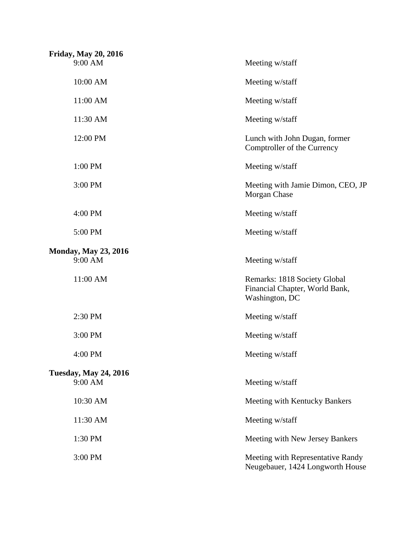| <b>Friday, May 20, 2016</b><br>9:00 AM | Meeting w/staff                                                                  |
|----------------------------------------|----------------------------------------------------------------------------------|
| 10:00 AM                               | Meeting w/staff                                                                  |
|                                        |                                                                                  |
| 11:00 AM                               | Meeting w/staff                                                                  |
| 11:30 AM                               | Meeting w/staff                                                                  |
| 12:00 PM                               | Lunch with John Dugan, former<br>Comptroller of the Currency                     |
| 1:00 PM                                | Meeting w/staff                                                                  |
| 3:00 PM                                | Meeting with Jamie Dimon, CEO, JP<br>Morgan Chase                                |
| 4:00 PM                                | Meeting w/staff                                                                  |
| 5:00 PM                                | Meeting w/staff                                                                  |
| <b>Monday, May 23, 2016</b>            |                                                                                  |
| 9:00 AM                                | Meeting w/staff                                                                  |
| 11:00 AM                               | Remarks: 1818 Society Global<br>Financial Chapter, World Bank,<br>Washington, DC |
| 2:30 PM                                | Meeting w/staff                                                                  |
| 3:00 PM                                | Meeting w/staff                                                                  |
| 4:00 PM                                | Meeting w/staff                                                                  |
| <b>Tuesday, May 24, 2016</b>           |                                                                                  |
| 9:00 AM                                | Meeting w/staff                                                                  |
| 10:30 AM                               | Meeting with Kentucky Bankers                                                    |
| 11:30 AM                               | Meeting w/staff                                                                  |
| 1:30 PM                                | Meeting with New Jersey Bankers                                                  |
| 3:00 PM                                | Meeting with Representative Randy<br>Neugebauer, 1424 Longworth House            |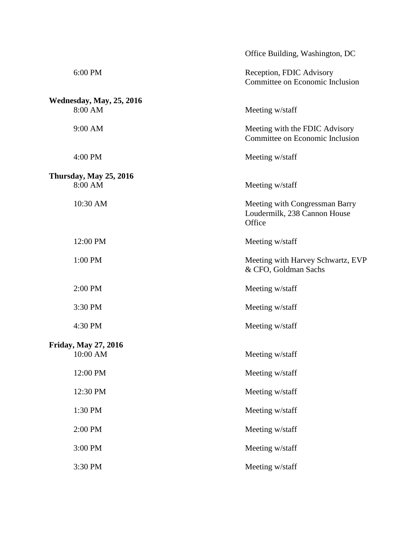|                                 | Office Building, Washington, DC                                          |
|---------------------------------|--------------------------------------------------------------------------|
| 6:00 PM                         | Reception, FDIC Advisory<br>Committee on Economic Inclusion              |
| <b>Wednesday, May, 25, 2016</b> |                                                                          |
| 8:00 AM                         | Meeting w/staff                                                          |
| 9:00 AM                         | Meeting with the FDIC Advisory<br>Committee on Economic Inclusion        |
| 4:00 PM                         | Meeting w/staff                                                          |
| <b>Thursday, May 25, 2016</b>   |                                                                          |
| 8:00 AM                         | Meeting w/staff                                                          |
| 10:30 AM                        | Meeting with Congressman Barry<br>Loudermilk, 238 Cannon House<br>Office |
| 12:00 PM                        | Meeting w/staff                                                          |
| 1:00 PM                         | Meeting with Harvey Schwartz, EVP<br>& CFO, Goldman Sachs                |
| 2:00 PM                         | Meeting w/staff                                                          |
| 3:30 PM                         | Meeting w/staff                                                          |
| 4:30 PM                         | Meeting w/staff                                                          |
| <b>Friday, May 27, 2016</b>     |                                                                          |
| $10:00~\mathrm{AM}$             | Meeting w/staff                                                          |
| 12:00 PM                        | Meeting w/staff                                                          |
| 12:30 PM                        | Meeting w/staff                                                          |
| 1:30 PM                         | Meeting w/staff                                                          |
| 2:00 PM                         | Meeting w/staff                                                          |
| 3:00 PM                         | Meeting w/staff                                                          |
| 3:30 PM                         | Meeting w/staff                                                          |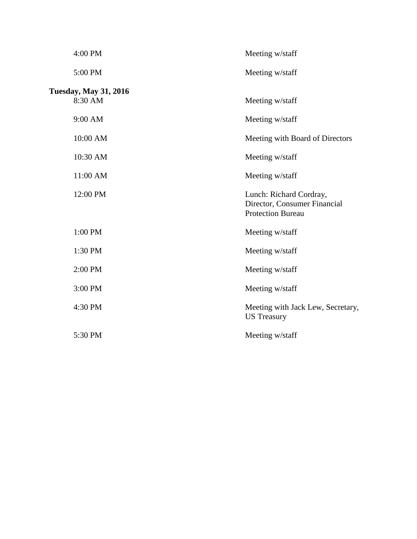| 4:00 PM                                 | Meeting w/staff                                                                     |
|-----------------------------------------|-------------------------------------------------------------------------------------|
| 5:00 PM                                 | Meeting w/staff                                                                     |
| <b>Tuesday, May 31, 2016</b><br>8:30 AM | Meeting w/staff                                                                     |
| 9:00 AM                                 | Meeting w/staff                                                                     |
| 10:00 AM                                | Meeting with Board of Directors                                                     |
| 10:30 AM                                | Meeting w/staff                                                                     |
| 11:00 AM                                | Meeting w/staff                                                                     |
| 12:00 PM                                | Lunch: Richard Cordray,<br>Director, Consumer Financial<br><b>Protection Bureau</b> |
| 1:00 PM                                 | Meeting w/staff                                                                     |
| 1:30 PM                                 | Meeting w/staff                                                                     |
| 2:00 PM                                 | Meeting w/staff                                                                     |
| 3:00 PM                                 | Meeting w/staff                                                                     |
| 4:30 PM                                 | Meeting with Jack Lew, Secretary,<br><b>US</b> Treasury                             |
| 5:30 PM                                 | Meeting w/staff                                                                     |
|                                         |                                                                                     |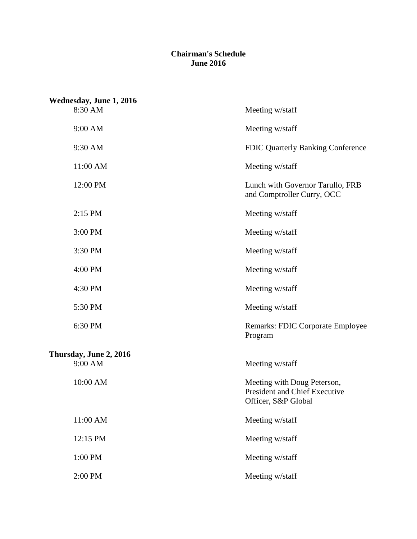## **June 2016 Chairman's Schedule**

| Wednesday, June 1, 2016 |                                                                                     |
|-------------------------|-------------------------------------------------------------------------------------|
| 8:30 AM                 | Meeting w/staff                                                                     |
| 9:00 AM                 | Meeting w/staff                                                                     |
| 9:30 AM                 | <b>FDIC Quarterly Banking Conference</b>                                            |
| 11:00 AM                | Meeting w/staff                                                                     |
| 12:00 PM                | Lunch with Governor Tarullo, FRB<br>and Comptroller Curry, OCC                      |
| 2:15 PM                 | Meeting w/staff                                                                     |
| 3:00 PM                 | Meeting w/staff                                                                     |
| 3:30 PM                 | Meeting w/staff                                                                     |
| 4:00 PM                 | Meeting w/staff                                                                     |
| 4:30 PM                 | Meeting w/staff                                                                     |
| 5:30 PM                 | Meeting w/staff                                                                     |
| 6:30 PM                 | <b>Remarks: FDIC Corporate Employee</b><br>Program                                  |
| Thursday, June 2, 2016  |                                                                                     |
| 9:00 AM                 | Meeting w/staff                                                                     |
| 10:00 AM                | Meeting with Doug Peterson,<br>President and Chief Executive<br>Officer, S&P Global |
| 11:00 AM                | Meeting w/staff                                                                     |
| 12:15 PM                | Meeting w/staff                                                                     |
| 1:00 PM                 | Meeting w/staff                                                                     |
| 2:00 PM                 | Meeting w/staff                                                                     |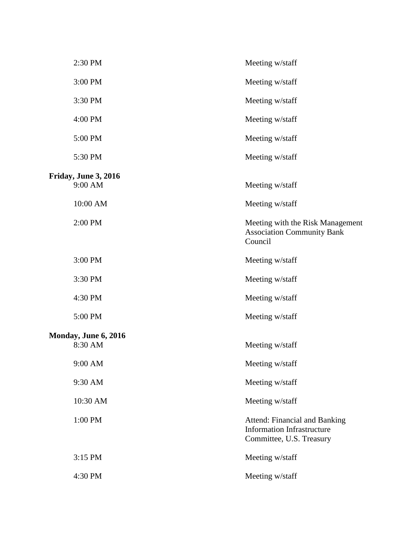| 2:30 PM              | Meeting w/staff                                                                                       |
|----------------------|-------------------------------------------------------------------------------------------------------|
| 3:00 PM              | Meeting w/staff                                                                                       |
| 3:30 PM              | Meeting w/staff                                                                                       |
| 4:00 PM              | Meeting w/staff                                                                                       |
| 5:00 PM              | Meeting w/staff                                                                                       |
| 5:30 PM              | Meeting w/staff                                                                                       |
| Friday, June 3, 2016 |                                                                                                       |
| 9:00 AM              | Meeting w/staff                                                                                       |
| 10:00 AM             | Meeting w/staff                                                                                       |
| 2:00 PM              | Meeting with the Risk Management<br><b>Association Community Bank</b><br>Council                      |
| 3:00 PM              | Meeting w/staff                                                                                       |
| 3:30 PM              | Meeting w/staff                                                                                       |
| 4:30 PM              | Meeting w/staff                                                                                       |
| 5:00 PM              | Meeting w/staff                                                                                       |
| Monday, June 6, 2016 |                                                                                                       |
| 8:30 AM              | Meeting w/staff                                                                                       |
| 9:00 AM              | Meeting w/staff                                                                                       |
| 9:30 AM              | Meeting w/staff                                                                                       |
| 10:30 AM             | Meeting w/staff                                                                                       |
| 1:00 PM              | <b>Attend: Financial and Banking</b><br><b>Information Infrastructure</b><br>Committee, U.S. Treasury |
| 3:15 PM              | Meeting w/staff                                                                                       |
| 4:30 PM              | Meeting w/staff                                                                                       |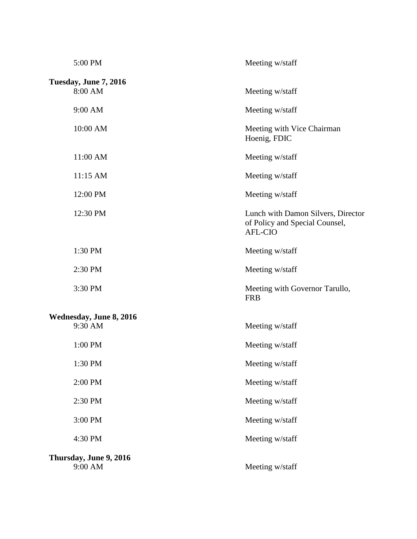| 5:00 PM                           | Meeting w/staff                                                                        |
|-----------------------------------|----------------------------------------------------------------------------------------|
| Tuesday, June 7, 2016<br>8:00 AM  | Meeting w/staff                                                                        |
| 9:00 AM                           | Meeting w/staff                                                                        |
| 10:00 AM                          | Meeting with Vice Chairman<br>Hoenig, FDIC                                             |
| 11:00 AM                          | Meeting w/staff                                                                        |
| 11:15 AM                          | Meeting w/staff                                                                        |
| 12:00 PM                          | Meeting w/staff                                                                        |
| 12:30 PM                          | Lunch with Damon Silvers, Director<br>of Policy and Special Counsel,<br><b>AFL-CIO</b> |
| 1:30 PM                           | Meeting w/staff                                                                        |
| 2:30 PM                           | Meeting w/staff                                                                        |
| 3:30 PM                           | Meeting with Governor Tarullo,<br><b>FRB</b>                                           |
| Wednesday, June 8, 2016           |                                                                                        |
| 9:30 AM                           | Meeting w/staff                                                                        |
| 1:00 PM                           | Meeting w/staff                                                                        |
| 1:30 PM                           | Meeting w/staff                                                                        |
| 2:00 PM                           | Meeting w/staff                                                                        |
| 2:30 PM                           | Meeting w/staff                                                                        |
| 3:00 PM                           | Meeting w/staff                                                                        |
| 4:30 PM                           | Meeting w/staff                                                                        |
| Thursday, June 9, 2016<br>9:00 AM | Meeting w/staff                                                                        |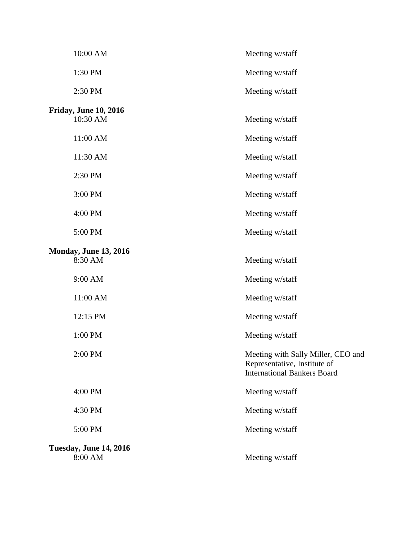| 10:00 AM                                 | Meeting w/staff                                                                                          |
|------------------------------------------|----------------------------------------------------------------------------------------------------------|
| 1:30 PM                                  | Meeting w/staff                                                                                          |
| 2:30 PM                                  | Meeting w/staff                                                                                          |
| <b>Friday, June 10, 2016</b>             |                                                                                                          |
| 10:30 AM                                 | Meeting w/staff                                                                                          |
| 11:00 AM                                 | Meeting w/staff                                                                                          |
| 11:30 AM                                 | Meeting w/staff                                                                                          |
| 2:30 PM                                  | Meeting w/staff                                                                                          |
| 3:00 PM                                  | Meeting w/staff                                                                                          |
| 4:00 PM                                  | Meeting w/staff                                                                                          |
| 5:00 PM                                  | Meeting w/staff                                                                                          |
| <b>Monday, June 13, 2016</b>             |                                                                                                          |
| 8:30 AM                                  | Meeting w/staff                                                                                          |
| 9:00 AM                                  | Meeting w/staff                                                                                          |
| 11:00 AM                                 | Meeting w/staff                                                                                          |
| 12:15 PM                                 | Meeting w/staff                                                                                          |
| 1:00 PM                                  | Meeting w/staff                                                                                          |
| 2:00 PM                                  | Meeting with Sally Miller, CEO and<br>Representative, Institute of<br><b>International Bankers Board</b> |
| 4:00 PM                                  | Meeting w/staff                                                                                          |
| 4:30 PM                                  | Meeting w/staff                                                                                          |
| 5:00 PM                                  | Meeting w/staff                                                                                          |
| <b>Tuesday, June 14, 2016</b><br>8:00 AM | Meeting w/staff                                                                                          |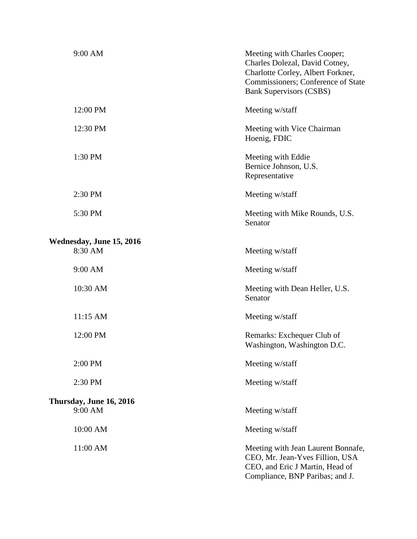| 9:00 AM                            | Meeting with Charles Cooper;<br>Charles Dolezal, David Cotney,<br>Charlotte Corley, Albert Forkner,<br>Commissioners; Conference of State<br><b>Bank Supervisors (CSBS)</b> |
|------------------------------------|-----------------------------------------------------------------------------------------------------------------------------------------------------------------------------|
| 12:00 PM                           | Meeting w/staff                                                                                                                                                             |
| 12:30 PM                           | Meeting with Vice Chairman<br>Hoenig, FDIC                                                                                                                                  |
| 1:30 PM                            | Meeting with Eddie<br>Bernice Johnson, U.S.<br>Representative                                                                                                               |
| 2:30 PM                            | Meeting w/staff                                                                                                                                                             |
| 5:30 PM                            | Meeting with Mike Rounds, U.S.<br>Senator                                                                                                                                   |
| Wednesday, June 15, 2016           |                                                                                                                                                                             |
| 8:30 AM                            | Meeting w/staff                                                                                                                                                             |
| 9:00 AM                            | Meeting w/staff                                                                                                                                                             |
| 10:30 AM                           | Meeting with Dean Heller, U.S.<br>Senator                                                                                                                                   |
| 11:15 AM                           | Meeting w/staff                                                                                                                                                             |
| 12:00 PM                           | Remarks: Exchequer Club of<br>Washington, Washington D.C.                                                                                                                   |
| 2:00 PM                            | Meeting w/staff                                                                                                                                                             |
| 2:30 PM                            | Meeting w/staff                                                                                                                                                             |
| Thursday, June 16, 2016<br>9:00 AM | Meeting w/staff                                                                                                                                                             |
| 10:00 AM                           | Meeting w/staff                                                                                                                                                             |
| 11:00 AM                           | Meeting with Jean Laurent Bonnafe,<br>CEO, Mr. Jean-Yves Fillion, USA<br>CEO, and Eric J Martin, Head of<br>Compliance, BNP Paribas; and J.                                 |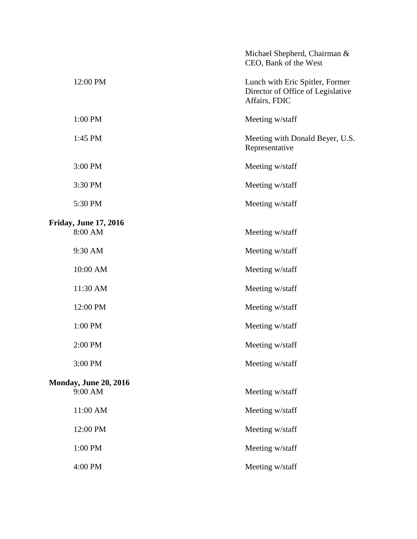|                              | Michael Shepherd, Chairman &<br>CEO, Bank of the West                                 |
|------------------------------|---------------------------------------------------------------------------------------|
| 12:00 PM                     | Lunch with Eric Spitler, Former<br>Director of Office of Legislative<br>Affairs, FDIC |
| 1:00 PM                      | Meeting w/staff                                                                       |
| 1:45 PM                      | Meeting with Donald Beyer, U.S.<br>Representative                                     |
| 3:00 PM                      | Meeting w/staff                                                                       |
| 3:30 PM                      | Meeting w/staff                                                                       |
| 5:30 PM                      | Meeting w/staff                                                                       |
| <b>Friday, June 17, 2016</b> |                                                                                       |
| 8:00 AM                      | Meeting w/staff                                                                       |
| 9:30 AM                      | Meeting w/staff                                                                       |
| 10:00 AM                     | Meeting w/staff                                                                       |
| 11:30 AM                     | Meeting w/staff                                                                       |
| 12:00 PM                     | Meeting w/staff                                                                       |
| 1:00 PM                      | Meeting w/staff                                                                       |
| 2:00 PM                      | Meeting w/staff                                                                       |
| 3:00 PM                      | Meeting w/staff                                                                       |
| <b>Monday, June 20, 2016</b> |                                                                                       |
| 9:00 AM                      | Meeting w/staff                                                                       |
| 11:00 AM                     | Meeting w/staff                                                                       |
| 12:00 PM                     | Meeting w/staff                                                                       |
| 1:00 PM                      | Meeting w/staff                                                                       |
| 4:00 PM                      | Meeting w/staff                                                                       |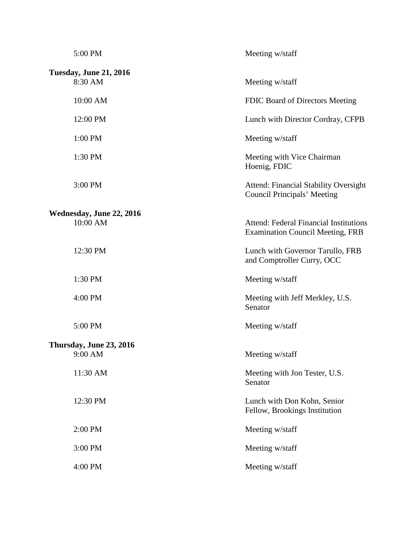| 5:00 PM                                  | Meeting w/staff                                                                          |
|------------------------------------------|------------------------------------------------------------------------------------------|
| <b>Tuesday, June 21, 2016</b><br>8:30 AM | Meeting w/staff                                                                          |
| 10:00 AM                                 | FDIC Board of Directors Meeting                                                          |
| 12:00 PM                                 | Lunch with Director Cordray, CFPB                                                        |
| 1:00 PM                                  | Meeting w/staff                                                                          |
| 1:30 PM                                  | Meeting with Vice Chairman<br>Hoenig, FDIC                                               |
| 3:00 PM                                  | <b>Attend: Financial Stability Oversight</b><br>Council Principals' Meeting              |
| Wednesday, June 22, 2016                 |                                                                                          |
| 10:00 AM                                 | <b>Attend: Federal Financial Institutions</b><br><b>Examination Council Meeting, FRB</b> |
| 12:30 PM                                 | Lunch with Governor Tarullo, FRB<br>and Comptroller Curry, OCC                           |
| 1:30 PM                                  | Meeting w/staff                                                                          |
| 4:00 PM                                  | Meeting with Jeff Merkley, U.S.<br>Senator                                               |
| 5:00 PM                                  | Meeting w/staff                                                                          |
| Thursday, June 23, 2016                  |                                                                                          |
| 9:00 AM                                  | Meeting w/staff                                                                          |
| 11:30 AM                                 | Meeting with Jon Tester, U.S.<br>Senator                                                 |
| 12:30 PM                                 | Lunch with Don Kohn, Senior<br>Fellow, Brookings Institution                             |
| 2:00 PM                                  | Meeting w/staff                                                                          |
| 3:00 PM                                  | Meeting w/staff                                                                          |
| 4:00 PM                                  | Meeting w/staff                                                                          |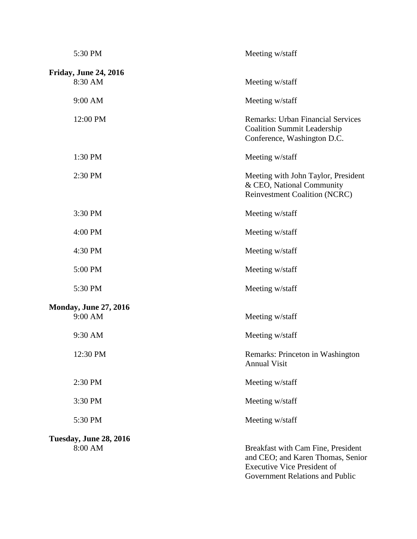| 5:30 PM                                 | Meeting w/staff                                                                                                                                  |
|-----------------------------------------|--------------------------------------------------------------------------------------------------------------------------------------------------|
| <b>Friday, June 24, 2016</b><br>8:30 AM | Meeting w/staff                                                                                                                                  |
| 9:00 AM                                 | Meeting w/staff                                                                                                                                  |
| 12:00 PM                                | <b>Remarks: Urban Financial Services</b><br><b>Coalition Summit Leadership</b><br>Conference, Washington D.C.                                    |
| 1:30 PM                                 | Meeting w/staff                                                                                                                                  |
| 2:30 PM                                 | Meeting with John Taylor, President<br>& CEO, National Community<br><b>Reinvestment Coalition (NCRC)</b>                                         |
| 3:30 PM                                 | Meeting w/staff                                                                                                                                  |
| 4:00 PM                                 | Meeting w/staff                                                                                                                                  |
| 4:30 PM                                 | Meeting w/staff                                                                                                                                  |
| 5:00 PM                                 | Meeting w/staff                                                                                                                                  |
| 5:30 PM                                 | Meeting w/staff                                                                                                                                  |
| <b>Monday, June 27, 2016</b><br>9:00 AM | Meeting w/staff                                                                                                                                  |
| 9:30 AM                                 | Meeting w/staff                                                                                                                                  |
| 12:30 PM                                | Remarks: Princeton in Washington<br><b>Annual Visit</b>                                                                                          |
| 2:30 PM                                 | Meeting w/staff                                                                                                                                  |
| 3:30 PM                                 | Meeting w/staff                                                                                                                                  |
| 5:30 PM                                 | Meeting w/staff                                                                                                                                  |
| Tuesday, June 28, 2016<br>8:00 AM       | Breakfast with Cam Fine, President<br>and CEO; and Karen Thomas, Senior<br><b>Executive Vice President of</b><br>Government Relations and Public |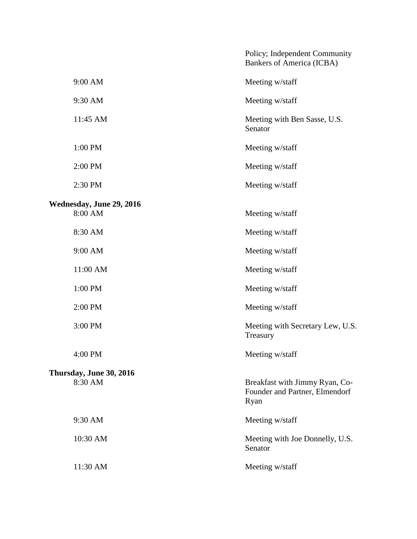|                          | Policy; Independent Community<br>Bankers of America (ICBA)               |
|--------------------------|--------------------------------------------------------------------------|
| 9:00 AM                  | Meeting w/staff                                                          |
| 9:30 AM                  | Meeting w/staff                                                          |
| 11:45 AM                 | Meeting with Ben Sasse, U.S.<br>Senator                                  |
| 1:00 PM                  | Meeting w/staff                                                          |
| 2:00 PM                  | Meeting w/staff                                                          |
| 2:30 PM                  | Meeting w/staff                                                          |
| Wednesday, June 29, 2016 |                                                                          |
| 8:00 AM                  | Meeting w/staff                                                          |
| 8:30 AM                  | Meeting w/staff                                                          |
| 9:00 AM                  | Meeting w/staff                                                          |
| 11:00 AM                 | Meeting w/staff                                                          |
| 1:00 PM                  | Meeting w/staff                                                          |
| 2:00 PM                  | Meeting w/staff                                                          |
| 3:00 PM                  | Meeting with Secretary Lew, U.S.<br>Treasury                             |
| 4:00 PM                  | Meeting w/staff                                                          |
| Thursday, June 30, 2016  |                                                                          |
| 8:30 AM                  | Breakfast with Jimmy Ryan, Co-<br>Founder and Partner, Elmendorf<br>Ryan |
| 9:30 AM                  | Meeting w/staff                                                          |
| 10:30 AM                 | Meeting with Joe Donnelly, U.S.<br>Senator                               |
| 11:30 AM                 | Meeting w/staff                                                          |